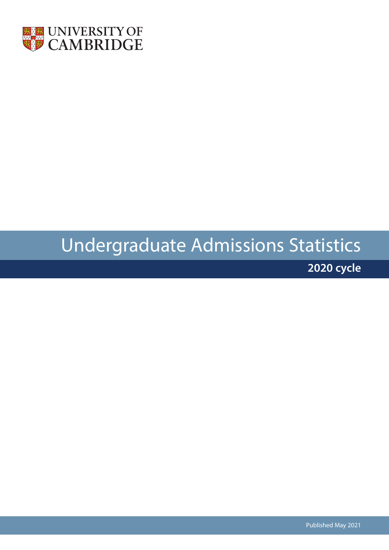

# Undergraduate Admissions Statistics

**2020 cycle**

Published May 2021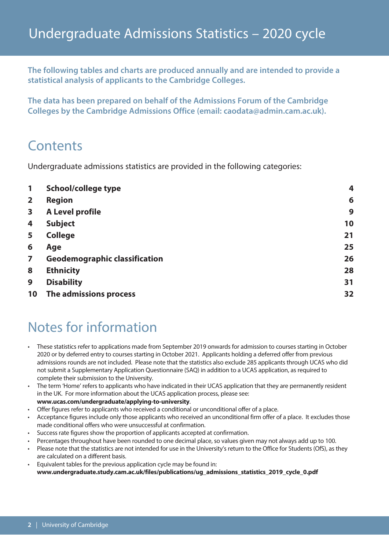**The following tables and charts are produced annually and are intended to provide a statistical analysis of applicants to the Cambridge Colleges.**

**The data has been prepared on behalf of the Admissions Forum of the Cambridge Colleges by the Cambridge Admissions Office (email: caodata@admin.cam.ac.uk).**

## **Contents**

Undergraduate admissions statistics are provided in the following categories:

| 1              | <b>School/college type</b>           | 4  |
|----------------|--------------------------------------|----|
| $\overline{2}$ | <b>Region</b>                        | 6  |
| 3              | <b>A Level profile</b>               | 9  |
| 4              | <b>Subject</b>                       | 10 |
| 5              | <b>College</b>                       | 21 |
| 6              | Age                                  | 25 |
| $\overline{z}$ | <b>Geodemographic classification</b> | 26 |
| 8              | <b>Ethnicity</b>                     | 28 |
| 9              | <b>Disability</b>                    | 31 |
| 10             | The admissions process               | 32 |

## Notes for information

- These statistics refer to applications made from September 2019 onwards for admission to courses starting in October 2020 or by deferred entry to courses starting in October 2021. Applicants holding a deferred offer from previous admissions rounds are not included. Please note that the statistics also exclude 285 applicants through UCAS who did not submit a Supplementary Application Questionnaire (SAQ) in addition to a UCAS application, as required to complete their submission to the University.
- The term 'Home' refers to applicants who have indicated in their UCAS application that they are permanently resident in the UK. For more information about the UCAS application process, please see: **www.ucas.com/undergraduate/applying-to-university**.
- Offer figures refer to applicants who received a conditional or unconditional offer of a place.
- Acceptance figures include only those applicants who received an unconditional firm offer of a place. It excludes those made conditional offers who were unsuccessful at confirmation.
- Success rate figures show the proportion of applicants accepted at confirmation.
- Percentages throughout have been rounded to one decimal place, so values given may not always add up to 100.
- Please note that the statistics are not intended for use in the University's return to the Office for Students (OfS), as they are calculated on a different basis.
- Equivalent tables for the previous application cycle may be found in: **www.undergraduate.study.cam.ac.uk/files/publications/ug\_admissions\_statistics\_2019\_cycle\_0.pdf**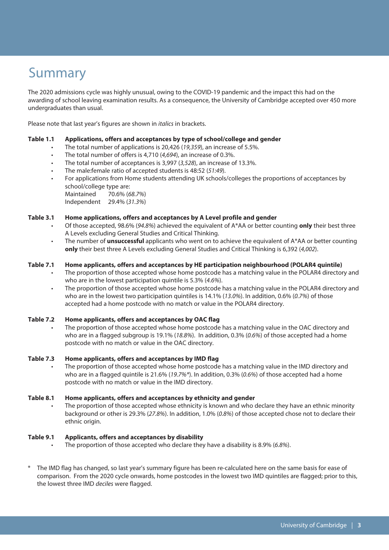## Summary

The 2020 admissions cycle was highly unusual, owing to the COVID-19 pandemic and the impact this had on the awarding of school leaving examination results. As a consequence, the University of Cambridge accepted over 450 more undergraduates than usual.

Please note that last year's figures are shown in *italics* in brackets.

#### **Table 1.1 Applications, offers and acceptances by type of school/college and gender**

- The total number of applications is 20,426 (*19,359*), an increase of 5.5%.
- The total number of offers is 4,710 (*4,694*), an increase of 0.3%.
- The total number of acceptances is 3,997 (*3,528*), an increase of 13.3%.
- The male:female ratio of accepted students is 48:52 (*51:49*).
- For applications from Home students attending UK schools/colleges the proportions of acceptances by school/college type are:
	- Maintained 70.6% (*68.7%*)
	- Independent 29.4% (*31.3%*)

#### **Table 3.1 Home applications, offers and acceptances by A Level profile and gender**

- Of those accepted, 98.6% (*94.8%*) achieved the equivalent of A\*AA or better counting **only** their best three A Levels excluding General Studies and Critical Thinking.
- The number of **unsuccessful** applicants who went on to achieve the equivalent of A\*AA or better counting **only** their best three A Levels excluding General Studies and Critical Thinking is 6,392 (*4,002*).

#### **Table 7.1 Home applicants, offers and acceptances by HE participation neighbourhood (POLAR4 quintile)**

- The proportion of those accepted whose home postcode has a matching value in the POLAR4 directory and who are in the lowest participation quintile is 5.3% (*4.6%*).
- The proportion of those accepted whose home postcode has a matching value in the POLAR4 directory and who are in the lowest two participation quintiles is 14.1% (*13.0%*). In addition, 0.6% (*0.7%*) of those accepted had a home postcode with no match or value in the POLAR4 directory.

#### **Table 7.2 Home applicants, offers and acceptances by OAC flag**

The proportion of those accepted whose home postcode has a matching value in the OAC directory and who are in a flagged subgroup is 19.1% (*18.8%*). In addition, 0.3% (*0.6%*) of those accepted had a home postcode with no match or value in the OAC directory.

#### **Table 7.3 Home applicants, offers and acceptances by IMD flag**

• The proportion of those accepted whose home postcode has a matching value in the IMD directory and who are in a flagged quintile is 21.6% (*19.7%\**). In addition, 0.3% (*0.6%*) of those accepted had a home postcode with no match or value in the IMD directory.

#### **Table 8.1 Home applicants, offers and acceptances by ethnicity and gender**

The proportion of those accepted whose ethnicity is known and who declare they have an ethnic minority background or other is 29.3% (*27.8%*). In addition, 1.0% (*0.8%*) of those accepted chose not to declare their ethnic origin.

#### **Table 9.1 Applicants, offers and acceptances by disability**

- The proportion of those accepted who declare they have a disability is 8.9% (*6.8%*).
- The IMD flag has changed, so last year's summary figure has been re-calculated here on the same basis for ease of comparison. From the 2020 cycle onwards, home postcodes in the lowest two IMD quintiles are flagged; prior to this, the lowest three IMD *deciles* were flagged.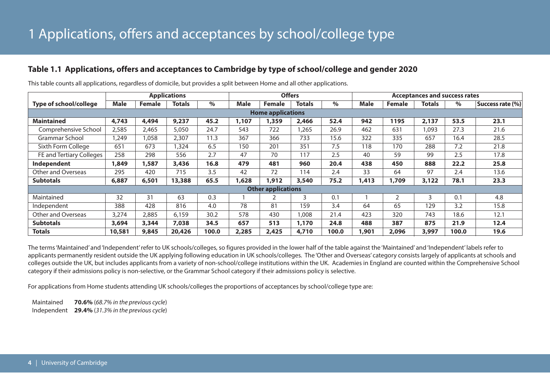## **Table 1.1 Applications, offers and acceptances to Cambridge by type of school/college and gender 2020**

|                          |             | <b>Applications</b> |               |       |       | <b>Offers</b>             |        |       |             | <b>Acceptances and success rates</b> |               |       |                  |  |
|--------------------------|-------------|---------------------|---------------|-------|-------|---------------------------|--------|-------|-------------|--------------------------------------|---------------|-------|------------------|--|
| Type of school/college   | <b>Male</b> | <b>Female</b>       | <b>Totals</b> | $\%$  | Male  | <b>Female</b>             | Totals | $\%$  | <b>Male</b> | <b>Female</b>                        | <b>Totals</b> | $\%$  | Success rate (%) |  |
|                          |             |                     |               |       |       | <b>Home applications</b>  |        |       |             |                                      |               |       |                  |  |
| <b>Maintained</b>        | 4,743       | 4,494               | 9,237         | 45.2  | 1,107 | 1,359                     | 2,466  | 52.4  | 942         | 1195                                 | 2,137         | 53.5  | 23.1             |  |
| Comprehensive School     | 2,585       | 2,465               | 5,050         | 24.7  | 543   | 722                       | 1,265  | 26.9  | 462         | 631                                  | 1,093         | 27.3  | 21.6             |  |
| Grammar School           | 1,249       | 1,058               | 2,307         | 11.3  | 367   | 366                       | 733    | 15.6  | 322         | 335                                  | 657           | 16.4  | 28.5             |  |
| Sixth Form College       | 651         | 673                 | .324          | 6.5   | 150   | 201                       | 351    | 7.5   | 118         | 170                                  | 288           | 7.2   | 21.8             |  |
| FE and Tertiary Colleges | 258         | 298                 | 556           | 2.7   | 47    | 70                        | 117    | 2.5   | 40          | 59                                   | 99            | 2.5   | 17.8             |  |
| Independent              | 1,849       | 1,587               | 3,436         | 16.8  | 479   | 481                       | 960    | 20.4  | 438         | 450                                  | 888           | 22.2  | 25.8             |  |
| Other and Overseas       | 295         | 420                 | 715           | 3.5   | 42    | 72                        | 114    | 2.4   | 33          | 64                                   | 97            | 2.4   | 13.6             |  |
| <b>Subtotals</b>         | 6,887       | 6,501               | 13,388        | 65.5  | 1,628 | 1,912                     | 3,540  | 75.2  | 1,413       | 1,709                                | 3,122         | 78.1  | 23.3             |  |
|                          |             |                     |               |       |       | <b>Other applications</b> |        |       |             |                                      |               |       |                  |  |
| Maintained               | 32          | 31                  | 63            | 0.3   |       |                           | 3      | 0.1   |             | $\overline{2}$                       | 3             | 0.1   | 4.8              |  |
| Independent              | 388         | 428                 | 816           | 4.0   | 78    | 81                        | 159    | 3.4   | 64          | 65                                   | 129           | 3.2   | 15.8             |  |
| Other and Overseas       | 3,274       | 2,885               | 6,159         | 30.2  | 578   | 430                       | 1,008  | 21.4  | 423         | 320                                  | 743           | 18.6  | 12.1             |  |
| <b>Subtotals</b>         | 3,694       | 3,344               | 7,038         | 34.5  | 657   | 513                       | 1,170  | 24.8  | 488         | 387                                  | 875           | 21.9  | 12.4             |  |
| <b>Totals</b>            | 10,581      | 9,845               | 20,426        | 100.0 | 2,285 | 2,425                     | 4,710  | 100.0 | 1,901       | 2,096                                | 3,997         | 100.0 | 19.6             |  |

This table counts all applications, regardless of domicile, but provides a split between Home and all other applications.

The terms'Maintained' and'Independent'refer to UK schools/colleges, so figures provided in the lower half of the table against the 'Maintained' and'Independent' labels refer to applicants permanently resident outside the UK applying following education in UK schools/colleges. The 'Other and Overseas' category consists largely of applicants at schools and colleges outside the UK, but includes applicants from a variety of non-school/college institutions within the UK. Academies in England are counted within the Comprehensive School category if their admissions policy is non-selective, or the Grammar School category if their admissions policy is selective.

For applications from Home students attending UK schools/colleges the proportions of acceptances by school/college type are:

Maintained **70.6%** (*68.7% in the previous cycle*) Independent **29.4%** (*31.3% in the previous cycle*)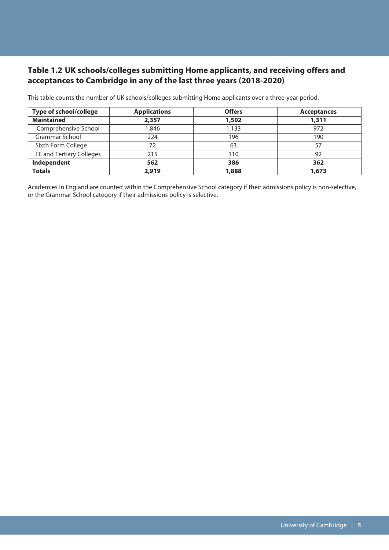## **Table 1.2 UK schools/colleges submitting Home applicants, and receiving offers and acceptances to Cambridge in any of the last three years (2018-2020)**

| Type of school/college   | <b>Applications</b> | <b>Offers</b> | <b>Acceptances</b> |
|--------------------------|---------------------|---------------|--------------------|
| <b>Maintained</b>        | 2,357               | 1,502         | 1,311              |
| Comprehensive School     | 1,846               | 1,133         | 972                |
| Grammar School           | 224                 | 196           | 190                |
| Sixth Form College       | 72                  | 63            | 57                 |
| FE and Tertiary Colleges | 215                 | 110           | 92                 |
| Independent              | 562                 | 386           | 362                |
| <b>Totals</b>            | 2,919               | 1,888         | 1,673              |

This table counts the number of UK schools/colleges submitting Home applicants over a three-year period.

Academies in England are counted within the Comprehensive School category if their admissions policy is non-selective, or the Grammar School category if their admissions policy is selective.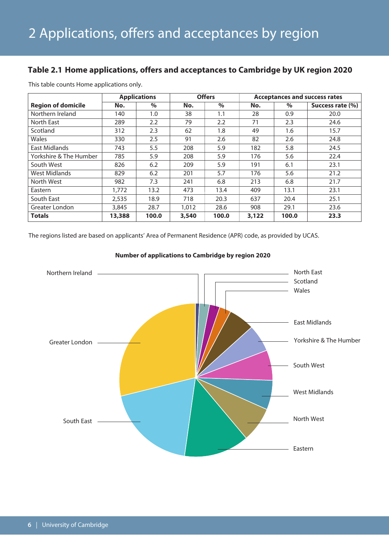## **Table 2.1 Home applications, offers and acceptances to Cambridge by UK region 2020**

|                           |        | <b>Applications</b> |       | <b>Offers</b> |       |       | <b>Acceptances and success rates</b> |
|---------------------------|--------|---------------------|-------|---------------|-------|-------|--------------------------------------|
| <b>Region of domicile</b> | No.    | $\%$                | No.   | $\frac{0}{0}$ | No.   | $\%$  | Success rate (%)                     |
| Northern Ireland          | 140    | 1.0                 | 38    | 1.1           | 28    | 0.9   | 20.0                                 |
| North East                | 289    | 2.2                 | 79    | 2.2           | 71    | 2.3   | 24.6                                 |
| Scotland                  | 312    | 2.3                 | 62    | 1.8           | 49    | 1.6   | 15.7                                 |
| Wales                     | 330    | 2.5                 | 91    | 2.6           | 82    | 2.6   | 24.8                                 |
| East Midlands             | 743    | 5.5                 | 208   | 5.9           | 182   | 5.8   | 24.5                                 |
| Yorkshire & The Humber    | 785    | 5.9                 | 208   | 5.9           | 176   | 5.6   | 22.4                                 |
| South West                | 826    | 6.2                 | 209   | 5.9           | 191   | 6.1   | 23.1                                 |
| West Midlands             | 829    | 6.2                 | 201   | 5.7           | 176   | 5.6   | 21.2                                 |
| North West                | 982    | 7.3                 | 241   | 6.8           | 213   | 6.8   | 21.7                                 |
| Eastern                   | 1,772  | 13.2                | 473   | 13.4          | 409   | 13.1  | 23.1                                 |
| South East                | 2,535  | 18.9                | 718   | 20.3          | 637   | 20.4  | 25.1                                 |
| Greater London            | 3,845  | 28.7                | 1,012 | 28.6          | 908   | 29.1  | 23.6                                 |
| <b>Totals</b>             | 13,388 | 100.0               | 3,540 | 100.0         | 3,122 | 100.0 | 23.3                                 |

This table counts Home applications only.

The regions listed are based on applicants' Area of Permanent Residence (APR) code, as provided by UCAS.



#### **Number of applications to Cambridge by region 2020**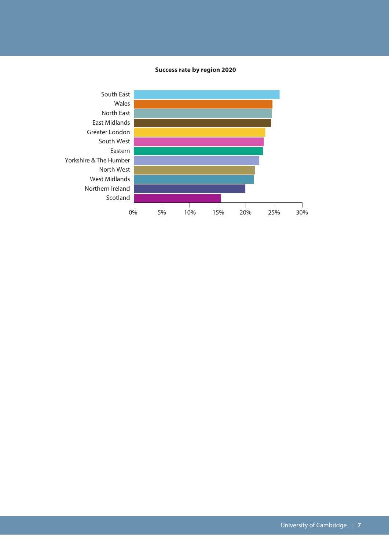#### **Success rate by region 2020**

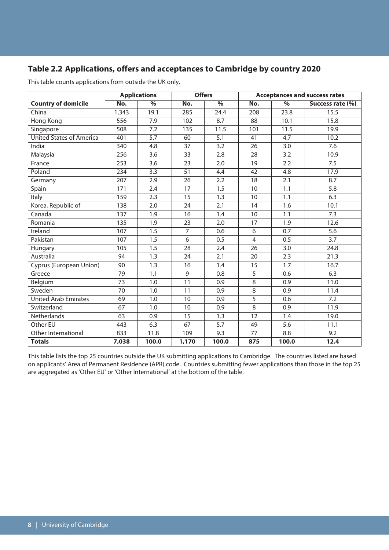## **Table 2.2 Applications, offers and acceptances to Cambridge by country 2020**

|                                 |       | <b>Applications</b> | <b>Offers</b>  |                  |                |       | <b>Acceptances and success rates</b> |
|---------------------------------|-------|---------------------|----------------|------------------|----------------|-------|--------------------------------------|
| <b>Country of domicile</b>      | No.   | $\%$                | No.            | $\%$             | No.            | $\%$  | Success rate (%)                     |
| China                           | 1,343 | 19.1                | 285            | 24.4             | 208            | 23.8  | 15.5                                 |
| Hong Kong                       | 556   | 7.9                 | 102            | 8.7              | 88             | 10.1  | 15.8                                 |
| Singapore                       | 508   | 7.2                 | 135            | 11.5             | 101            | 11.5  | 19.9                                 |
| <b>United States of America</b> | 401   | 5.7                 | 60             | 5.1              | 41             | 4.7   | 10.2                                 |
| India                           | 340   | 4.8                 | 37             | 3.2              | 26             | 3.0   | 7.6                                  |
| Malaysia                        | 256   | 3.6                 | 33             | 2.8              | 28             | 3.2   | 10.9                                 |
| France                          | 253   | 3.6                 | 23             | 2.0              | 19             | 2.2   | 7.5                                  |
| Poland                          | 234   | 3.3                 | 51             | 4.4              | 42             | 4.8   | 17.9                                 |
| Germany                         | 207   | 2.9                 | 26             | 2.2              | 18             | 2.1   | 8.7                                  |
| Spain                           | 171   | 2.4                 | 17             | 1.5              | 10             | 1.1   | 5.8                                  |
| <b>Italy</b>                    | 159   | 2.3                 | 15             | $\overline{1.3}$ | 10             | 1.1   | 6.3                                  |
| Korea, Republic of              | 138   | 2.0                 | 24             | 2.1              | 14             | 1.6   | 10.1                                 |
| Canada                          | 137   | 1.9                 | 16             | 1.4              | 10             | 1.1   | 7.3                                  |
| Romania                         | 135   | 1.9                 | 23             | 2.0              | 17             | 1.9   | 12.6                                 |
| Ireland                         | 107   | 1.5                 | $\overline{7}$ | 0.6              | 6              | 0.7   | 5.6                                  |
| Pakistan                        | 107   | 1.5                 | 6              | 0.5              | $\overline{4}$ | 0.5   | 3.7                                  |
| Hungary                         | 105   | 1.5                 | 28             | 2.4              | 26             | 3.0   | 24.8                                 |
| Australia                       | 94    | 1.3                 | 24             | 2.1              | 20             | 2.3   | 21.3                                 |
| Cyprus (European Union)         | 90    | 1.3                 | 16             | 1.4              | 15             | 1.7   | 16.7                                 |
| Greece                          | 79    | 1.1                 | 9              | 0.8              | 5              | 0.6   | 6.3                                  |
| Belgium                         | 73    | 1.0                 | 11             | 0.9              | 8              | 0.9   | 11.0                                 |
| Sweden                          | 70    | 1.0                 | 11             | 0.9              | 8              | 0.9   | 11.4                                 |
| <b>United Arab Emirates</b>     | 69    | 1.0                 | 10             | 0.9              | 5              | 0.6   | 7.2                                  |
| Switzerland                     | 67    | 1.0                 | 10             | 0.9              | 8              | 0.9   | 11.9                                 |
| Netherlands                     | 63    | 0.9                 | 15             | 1.3              | 12             | 1.4   | 19.0                                 |
| Other EU                        | 443   | 6.3                 | 67             | 5.7              | 49             | 5.6   | 11.1                                 |
| Other International             | 833   | 11.8                | 109            | 9.3              | 77             | 8.8   | 9.2                                  |
| <b>Totals</b>                   | 7,038 | 100.0               | 1,170          | 100.0            | 875            | 100.0 | 12.4                                 |

This table counts applications from outside the UK only.

This table lists the top 25 countries outside the UK submitting applications to Cambridge. The countries listed are based on applicants' Area of Permanent Residence (APR) code. Countries submitting fewer applications than those in the top 25 are aggregated as 'Other EU' or 'Other International' at the bottom of the table.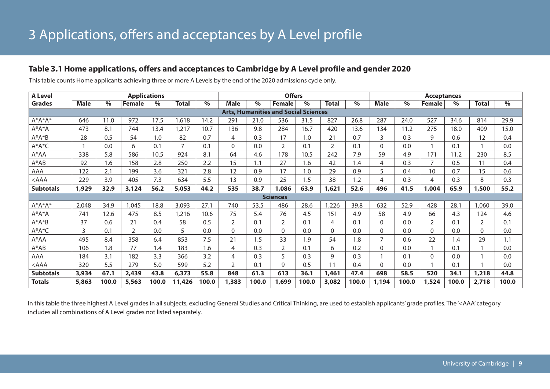## **Table 3.1 Home applications, offers and acceptances to Cambridge by A Level profile and gender 2020**

| <b>A Level</b>   | <b>Applications</b> |       |               |       |              |       | <b>Offers</b>  |       |                                             |       | <b>Acceptances</b> |       |             |       |                |       |              |       |
|------------------|---------------------|-------|---------------|-------|--------------|-------|----------------|-------|---------------------------------------------|-------|--------------------|-------|-------------|-------|----------------|-------|--------------|-------|
| <b>Grades</b>    | <b>Male</b>         | $\%$  | <b>Female</b> | $\%$  | <b>Total</b> | $\%$  | Male           | $\%$  | Female                                      | $\%$  | <b>Total</b>       | $\%$  | <b>Male</b> | $\%$  | <b>Female</b>  | $\%$  | <b>Total</b> | $\%$  |
|                  |                     |       |               |       |              |       |                |       | <b>Arts, Humanities and Social Sciences</b> |       |                    |       |             |       |                |       |              |       |
| $A^*A^*A^*$      | 646                 | 11.0  | 972           | 17.5  | 1,618        | 14.2  | 291            | 21.0  | 536                                         | 31.5  | 827                | 26.8  | 287         | 24.0  | 527            | 34.6  | 814          | 29.9  |
| $A^*A^*A$        | 473                 | 8.1   | 744           | 13.4  | 1,217        | 10.7  | 136            | 9.8   | 284                                         | 16.7  | 420                | 13.6  | 134         | 11.2  | 275            | 18.0  | 409          | 15.0  |
| $A^*A^*B$        | 28                  | 0.5   | 54            | 1.0   | 82           | 0.7   | 4              | 0.3   | 17                                          | 1.0   | 21                 | 0.7   | 3           | 0.3   | 9              | 0.6   | 12           | 0.4   |
| A*A*C            |                     | 0.0   | 6             | 0.1   | 7            | 0.1   | $\Omega$       | 0.0   | 2                                           | 0.1   | $\overline{2}$     | 0.1   | $\Omega$    | 0.0   |                | 0.1   |              | 0.0   |
| A*AA             | 338                 | 5.8   | 586           | 10.5  | 924          | 8.1   | 64             | 4.6   | 178                                         | 10.5  | 242                | 7.9   | 59          | 4.9   | 171            | 11.2  | 230          | 8.5   |
| $A^*AB$          | 92                  | 1.6   | 158           | 2.8   | 250          | 2.2   | 15             | 1.1   | 27                                          | 1.6   | 42                 | 1.4   | 4           | 0.3   | 7              | 0.5   | 11           | 0.4   |
| AAA              | 122                 | 2.1   | 199           | 3.6   | 321          | 2.8   | 12             | 0.9   | 17                                          | 1.0   | 29                 | 0.9   | 5           | 0.4   | 10             | 0.7   | 15           | 0.6   |
| $<$ AAA          | 229                 | 3.9   | 405           | 7.3   | 634          | 5.5   | 13             | 0.9   | 25                                          | 1.5   | 38                 | 1.2   | 4           | 0.3   | $\overline{4}$ | 0.3   | 8            | 0.3   |
| <b>Subtotals</b> | 1,929               | 32.9  | 3,124         | 56.2  | 5,053        | 44.2  | 535            | 38.7  | 1,086                                       | 63.9  | 1,621              | 52.6  | 496         | 41.5  | 1,004          | 65.9  | 1,500        | 55.2  |
|                  |                     |       |               |       |              |       |                |       | <b>Sciences</b>                             |       |                    |       |             |       |                |       |              |       |
| $A^*A^*A^*$      | 2,048               | 34.9  | 1,045         | 18.8  | 3,093        | 27.1  | 740            | 53.5  | 486                                         | 28.6  | 1,226              | 39.8  | 632         | 52.9  | 428            | 28.1  | ,060         | 39.0  |
| $A^*A^*A$        | 741                 | 12.6  | 475           | 8.5   | 1,216        | 10.6  | 75             | 5.4   | 76                                          | 4.5   | 151                | 4.9   | 58          | 4.9   | 66             | 4.3   | 124          | 4.6   |
| $A^*A^*B$        | 37                  | 0.6   | 21            | 0.4   | 58           | 0.5   | $\overline{2}$ | 0.1   | $\overline{2}$                              | 0.1   | 4                  | 0.1   | $\Omega$    | 0.0   | $\overline{2}$ | 0.1   | 2            | 0.1   |
| $A^*A^*C$        | 3                   | 0.1   | 2             | 0.0   | 5            | 0.0   | $\Omega$       | 0.0   | $\mathbf 0$                                 | 0.0   | $\Omega$           | 0.0   | $\Omega$    | 0.0   | $\Omega$       | 0.0   | $\mathbf{0}$ | 0.0   |
| A*AA             | 495                 | 8.4   | 358           | 6.4   | 853          | 7.5   | 21             | 1.5   | 33                                          | 1.9   | 54                 | 1.8   | 7           | 0.6   | 22             | 1.4   | 29           | 1.1   |
| $A^*AB$          | 106                 | 1.8   | 77            | 1.4   | 183          | 1.6   | 4              | 0.3   | $\overline{2}$                              | 0.1   | 6                  | 0.2   | $\Omega$    | 0.0   |                | 0.1   |              | 0.0   |
| AAA              | 184                 | 3.1   | 182           | 3.3   | 366          | 3.2   | 4              | 0.3   | 5                                           | 0.3   | 9                  | 0.3   |             | 0.1   | $\Omega$       | 0.0   |              | 0.0   |
| $<$ AAA          | 320                 | 5.5   | 279           | 5.0   | 599          | 5.2   | $\overline{2}$ | 0.1   | 9                                           | 0.5   | 11                 | 0.4   | $\Omega$    | 0.0   |                | 0.1   |              | 0.0   |
| <b>Subtotals</b> | 3,934               | 67.1  | 2,439         | 43.8  | 6,373        | 55.8  | 848            | 61.3  | 613                                         | 36.1  | 1,461              | 47.4  | 698         | 58.5  | 520            | 34.1  | 1,218        | 44.8  |
| <b>Totals</b>    | 5,863               | 100.0 | 5,563         | 100.0 | 11,426       | 100.0 | 1,383          | 100.0 | 1,699                                       | 100.0 | 3,082              | 100.0 | 1,194       | 100.0 | 1,524          | 100.0 | 2,718        | 100.0 |

This table counts Home applicants achieving three or more A Levels by the end of the 2020 admissions cycle only.

In this table the three highest A Level grades in all subjects, excluding General Studies and Critical Thinking, are used to establish applicants' grade profiles. The '<AAA' category includes all combinations of A Level grades not listed separately.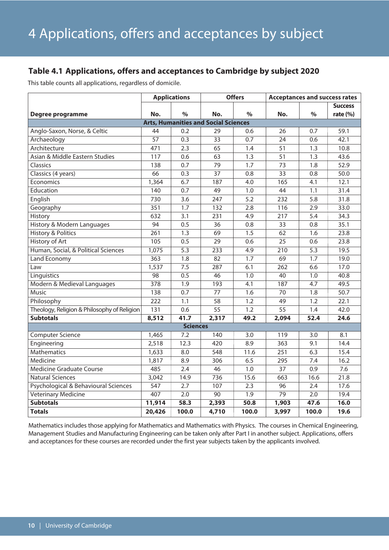## **Table 4.1 Applications, offers and acceptances to Cambridge by subject 2020**

This table counts all applications, regardless of domicile.

|                                             |                 | <b>Applications</b> |                                             | <b>Offers</b>    | <b>Acceptances and success rates</b> |                  |                |  |
|---------------------------------------------|-----------------|---------------------|---------------------------------------------|------------------|--------------------------------------|------------------|----------------|--|
|                                             |                 |                     |                                             |                  |                                      |                  | <b>Success</b> |  |
| Degree programme                            | No.             | $\frac{0}{0}$       | No.                                         | $\%$             | No.                                  | $\%$             | rate $(% )$    |  |
|                                             |                 |                     | <b>Arts, Humanities and Social Sciences</b> |                  |                                      |                  |                |  |
| Anglo-Saxon, Norse, & Celtic                | 44              | 0.2                 | 29                                          | 0.6              | 26                                   | 0.7              | 59.1           |  |
| Archaeology                                 | $\overline{57}$ | 0.3                 | 33                                          | 0.7              | 24                                   | 0.6              | 42.1           |  |
| Architecture                                | 471             | 2.3                 | 65                                          | 1.4              | 51                                   | 1.3              | 10.8           |  |
| Asian & Middle Eastern Studies              | 117             | 0.6                 | 63                                          | 1.3              | 51                                   | 1.3              | 43.6           |  |
| Classics                                    | 138             | 0.7                 | 79                                          | 1.7              | 73                                   | 1.8              | 52.9           |  |
| Classics (4 years)                          | 66              | 0.3                 | 37                                          | 0.8              | $\overline{33}$                      | 0.8              | 50.0           |  |
| Economics                                   | 1,364           | 6.7                 | 187                                         | 4.0              | 165                                  | 4.1              | 12.1           |  |
| Education                                   | 140             | 0.7                 | 49                                          | 1.0              | 44                                   | 1.1              | 31.4           |  |
| English                                     | 730             | 3.6                 | 247                                         | 5.2              | 232                                  | 5.8              | 31.8           |  |
| Geography                                   | 351             | 1.7                 | 132                                         | 2.8              | 116                                  | 2.9              | 33.0           |  |
| History                                     | 632             | 3.1                 | 231                                         | 4.9              | 217                                  | 5.4              | 34.3           |  |
| History & Modern Languages                  | 94              | 0.5                 | 36                                          | 0.8              | 33                                   | 0.8              | 35.1           |  |
| <b>History &amp; Politics</b>               | 261             | 1.3                 | 69                                          | 1.5              | 62                                   | 1.6              | 23.8           |  |
| History of Art                              | 105             | 0.5                 | 29                                          | 0.6              | 25                                   | 0.6              | 23.8           |  |
| Human, Social, & Political Sciences         | 1,075           | 5.3                 | 233                                         | 4.9              | 210                                  | 5.3              | 19.5           |  |
| Land Economy                                | 363             | 1.8                 | 82                                          | 1.7              | 69                                   | 1.7              | 19.0           |  |
| Law                                         | 1,537           | 7.5                 | 287                                         | 6.1              | 262                                  | 6.6              | 17.0           |  |
| Linguistics                                 | 98              | 0.5                 | 46                                          | 1.0              | 40                                   | 1.0              | 40.8           |  |
| Modern & Medieval Languages                 | 378             | $\overline{1.9}$    | 193                                         | 4.1              | 187                                  | 4.7              | 49.5           |  |
| Music                                       | 138             | 0.7                 | 77                                          | 1.6              | 70                                   | 1.8              | 50.7           |  |
| Philosophy                                  | 222             | 1.1                 | 58                                          | 1.2              | 49                                   | 1.2              | 22.1           |  |
| Theology, Religion & Philosophy of Religion | 131             | 0.6                 | 55                                          | 1.2              | 55                                   | 1.4              | 42.0           |  |
| <b>Subtotals</b>                            | 8,512           | 41.7                | 2,317                                       | 49.2             | 2,094                                | 52.4             | 24.6           |  |
|                                             |                 | <b>Sciences</b>     |                                             |                  |                                      |                  |                |  |
| <b>Computer Science</b>                     | 1,465           | 7.2                 | 140                                         | 3.0              | 119                                  | 3.0              | 8.1            |  |
| Engineering                                 | 2,518           | 12.3                | 420                                         | 8.9              | 363                                  | 9.1              | 14.4           |  |
| <b>Mathematics</b>                          | 1,633           | 8.0                 | 548                                         | 11.6             | 251                                  | 6.3              | 15.4           |  |
| Medicine                                    | 1,817           | 8.9                 | 306                                         | 6.5              | 295                                  | 7.4              | 16.2           |  |
| <b>Medicine Graduate Course</b>             | 485             | 2.4                 | 46                                          | 1.0              | 37                                   | 0.9              | 7.6            |  |
| Natural Sciences                            | 3,042           | 14.9                | 736                                         | 15.6             | 663                                  | 16.6             | 21.8           |  |
| Psychological & Behavioural Sciences        | 547             | 2.7                 | 107                                         | 2.3              | 96                                   | 2.4              | 17.6           |  |
| <b>Veterinary Medicine</b>                  | 407             | $\overline{2.0}$    | 90                                          | $\overline{1.9}$ | $\overline{79}$                      | $\overline{2.0}$ | 19.4           |  |
| <b>Subtotals</b>                            | 11,914          | 58.3                | 2,393                                       | 50.8             | 1,903                                | 47.6             | 16.0           |  |
| <b>Totals</b>                               | 20,426          | 100.0               | 4,710                                       | 100.0            | 3,997                                | 100.0            | 19.6           |  |

Mathematics includes those applying for Mathematics and Mathematics with Physics. The courses in Chemical Engineering, Management Studies and Manufacturing Engineering can be taken only after Part I in another subject. Applications, offers and acceptances for these courses are recorded under the first year subjects taken by the applicants involved.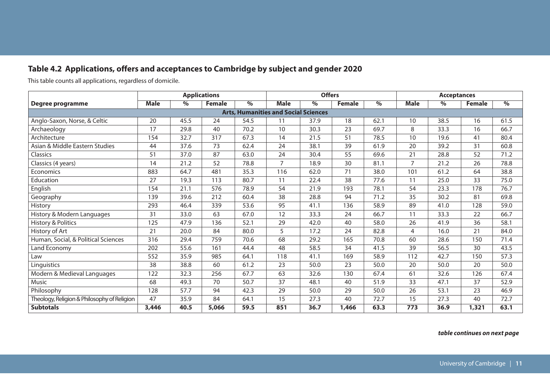## **Table 4.2 Applications, offers and acceptances to Cambridge by subject and gender 2020**

This table counts all applications, regardless of domicile.

| <b>Applications</b>                         |             |      |               |      |                                             | <b>Offers</b> |               |      | <b>Acceptances</b> |      |               |      |
|---------------------------------------------|-------------|------|---------------|------|---------------------------------------------|---------------|---------------|------|--------------------|------|---------------|------|
| Degree programme                            | <b>Male</b> | $\%$ | <b>Female</b> | $\%$ | <b>Male</b>                                 | $\%$          | <b>Female</b> | $\%$ | <b>Male</b>        | $\%$ | <b>Female</b> | $\%$ |
|                                             |             |      |               |      | <b>Arts, Humanities and Social Sciences</b> |               |               |      |                    |      |               |      |
| Anglo-Saxon, Norse, & Celtic                | 20          | 45.5 | 24            | 54.5 | 11                                          | 37.9          | 18            | 62.1 | 10                 | 38.5 | 16            | 61.5 |
| Archaeology                                 | 17          | 29.8 | 40            | 70.2 | 10                                          | 30.3          | 23            | 69.7 | 8                  | 33.3 | 16            | 66.7 |
| Architecture                                | 154         | 32.7 | 317           | 67.3 | 14                                          | 21.5          | 51            | 78.5 | 10                 | 19.6 | 41            | 80.4 |
| Asian & Middle Eastern Studies              | 44          | 37.6 | 73            | 62.4 | 24                                          | 38.1          | 39            | 61.9 | 20                 | 39.2 | 31            | 60.8 |
| Classics                                    | 51          | 37.0 | 87            | 63.0 | 24                                          | 30.4          | 55            | 69.6 | 21                 | 28.8 | 52            | 71.2 |
| Classics (4 years)                          | 14          | 21.2 | 52            | 78.8 | $\overline{7}$                              | 18.9          | 30            | 81.1 | $\overline{7}$     | 21.2 | 26            | 78.8 |
| Economics                                   | 883         | 64.7 | 481           | 35.3 | 116                                         | 62.0          | 71            | 38.0 | 101                | 61.2 | 64            | 38.8 |
| Education                                   | 27          | 19.3 | 113           | 80.7 | 11                                          | 22.4          | 38            | 77.6 | 11                 | 25.0 | 33            | 75.0 |
| English                                     | 154         | 21.1 | 576           | 78.9 | 54                                          | 21.9          | 193           | 78.1 | 54                 | 23.3 | 178           | 76.7 |
| Geography                                   | 139         | 39.6 | 212           | 60.4 | 38                                          | 28.8          | 94            | 71.2 | 35                 | 30.2 | 81            | 69.8 |
| History                                     | 293         | 46.4 | 339           | 53.6 | 95                                          | 41.1          | 136           | 58.9 | 89                 | 41.0 | 128           | 59.0 |
| History & Modern Languages                  | 31          | 33.0 | 63            | 67.0 | 12                                          | 33.3          | 24            | 66.7 | 11                 | 33.3 | 22            | 66.7 |
| History & Politics                          | 125         | 47.9 | 136           | 52.1 | 29                                          | 42.0          | 40            | 58.0 | 26                 | 41.9 | 36            | 58.1 |
| History of Art                              | 21          | 20.0 | 84            | 80.0 | 5                                           | 17.2          | 24            | 82.8 | 4                  | 16.0 | 21            | 84.0 |
| Human, Social, & Political Sciences         | 316         | 29.4 | 759           | 70.6 | 68                                          | 29.2          | 165           | 70.8 | 60                 | 28.6 | 150           | 71.4 |
| Land Economy                                | 202         | 55.6 | 161           | 44.4 | 48                                          | 58.5          | 34            | 41.5 | 39                 | 56.5 | 30            | 43.5 |
| Law                                         | 552         | 35.9 | 985           | 64.1 | 118                                         | 41.1          | 169           | 58.9 | 112                | 42.7 | 150           | 57.3 |
| Linguistics                                 | 38          | 38.8 | 60            | 61.2 | 23                                          | 50.0          | 23            | 50.0 | 20                 | 50.0 | 20            | 50.0 |
| Modern & Medieval Languages                 | 122         | 32.3 | 256           | 67.7 | 63                                          | 32.6          | 130           | 67.4 | 61                 | 32.6 | 126           | 67.4 |
| Music                                       | 68          | 49.3 | 70            | 50.7 | 37                                          | 48.1          | 40            | 51.9 | 33                 | 47.1 | 37            | 52.9 |
| Philosophy                                  | 128         | 57.7 | 94            | 42.3 | 29                                          | 50.0          | 29            | 50.0 | 26                 | 53.1 | 23            | 46.9 |
| Theology, Religion & Philosophy of Religion | 47          | 35.9 | 84            | 64.1 | 15                                          | 27.3          | 40            | 72.7 | 15                 | 27.3 | 40            | 72.7 |
| <b>Subtotals</b>                            | 3,446       | 40.5 | 5,066         | 59.5 | 851                                         | 36.7          | 1,466         | 63.3 | 773                | 36.9 | 1,321         | 63.1 |

*table continues on next page*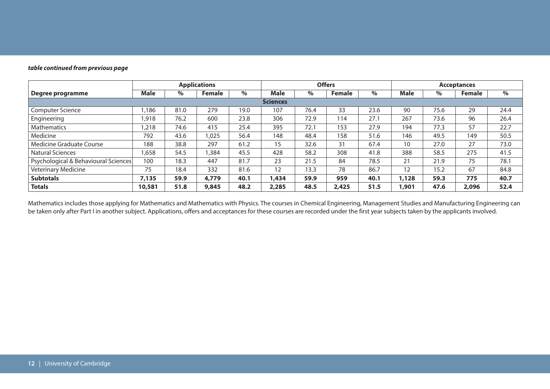#### *table continued from previous page*

|                                      | <b>Applications</b> |      |        |      | <b>Offers</b>   |      |               |      | <b>Acceptances</b> |      |        |      |
|--------------------------------------|---------------------|------|--------|------|-----------------|------|---------------|------|--------------------|------|--------|------|
| Degree programme                     | <b>Male</b>         | $\%$ | Female | $\%$ | Male            | $\%$ | <b>Female</b> | %    | Male               | %    | Female | $\%$ |
|                                      |                     |      |        |      | <b>Sciences</b> |      |               |      |                    |      |        |      |
| <b>Computer Science</b>              | .186                | 81.0 | 279    | 19.0 | 107             | 76.4 | 33            | 23.6 | 90                 | 75.6 | 29     | 24.4 |
| Engineering                          | .918                | 76.2 | 600    | 23.8 | 306             | 72.9 | 114           | 27.1 | 267                | 73.6 | 96     | 26.4 |
| <b>Mathematics</b>                   | ,218                | 74.6 | 415    | 25.4 | 395             | 72.1 | 153           | 27.9 | 194                | 77.3 | 57     | 22.7 |
| Medicine                             | 792                 | 43.6 | 1.025  | 56.4 | 148             | 48.4 | 158           | 51.6 | 146                | 49.5 | 149    | 50.5 |
| Medicine Graduate Course             | 188                 | 38.8 | 297    | 61.2 | 15              | 32.6 | 31            | 67.4 | 10                 | 27.0 | 27     | 73.0 |
| Natural Sciences                     | ,658                | 54.5 | .384   | 45.5 | 428             | 58.2 | 308           | 41.8 | 388                | 58.5 | 275    | 41.5 |
| Psychological & Behavioural Sciences | 100                 | 18.3 | 447    | 81.7 | 23              | 21.5 | 84            | 78.5 | 21                 | 21.9 | 75     | 78.1 |
| <b>Veterinary Medicine</b>           | 75                  | 18.4 | 332    | 81.6 | 12              | 13.3 | 78            | 86.7 | 12                 | 15.2 | 67     | 84.8 |
| <b>Subtotals</b>                     | 7,135               | 59.9 | 4,779  | 40.1 | 1,434           | 59.9 | 959           | 40.1 | 1,128              | 59.3 | 775    | 40.7 |
| <b>Totals</b>                        | 10,581              | 51.8 | 9,845  | 48.2 | 2,285           | 48.5 | 2,425         | 51.5 | 1,901              | 47.6 | 2,096  | 52.4 |

Mathematics includes those applying for Mathematics and Mathematics with Physics. The courses in Chemical Engineering, Management Studies and Manufacturing Engineering can be taken only after Part I in another subject. Applications, offers and acceptances for these courses are recorded under the first year subjects taken by the applicants involved.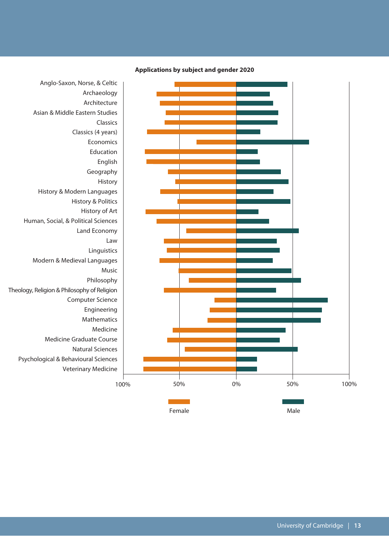

**Applications by subject and gender 2020**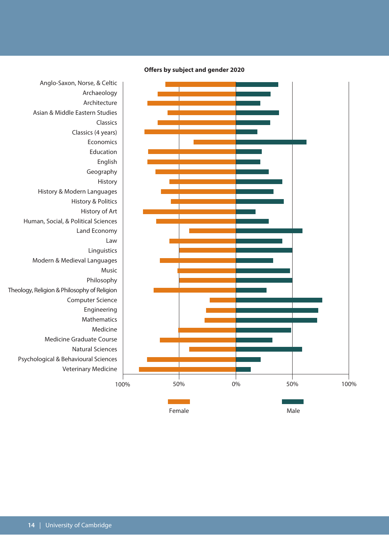

**Offers by subject and gender 2020**

Architecture Asian & Middle Eastern Studies Classics (4 years) Economics Education Geography History & Modern Languages History & Politics History of Art Human, Social, & Political Sciences Land Economy Linguistics Modern & Medieval Languages Philosophy Theology, Religion & Philosophy of Religion Computer Science Engineering Mathematics Medicine Graduate Course Natural Sciences Psychological & Behavioural Sciences Veterinary Medicine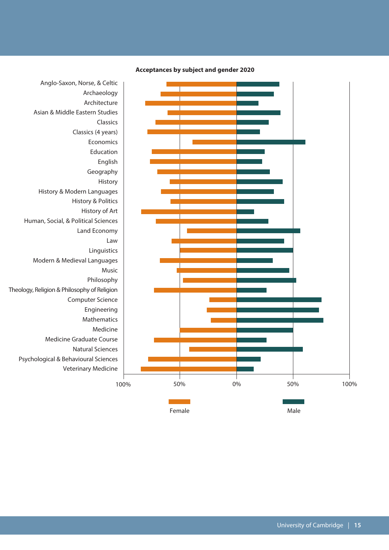

**Acceptances by subject and gender 2020**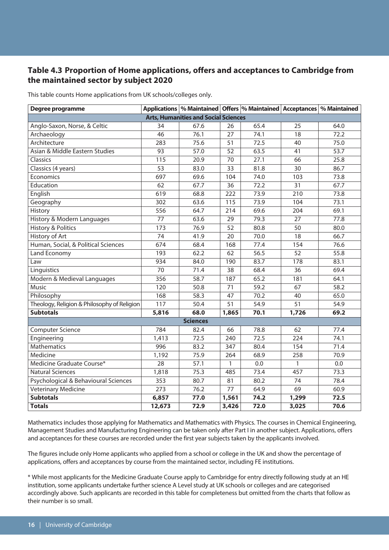## **Table 4.3 Proportion of Home applications, offers and acceptances to Cambridge from the maintained sector by subject 2020**

This table counts Home applications from UK schools/colleges only.

| Degree programme                            |                 |                                             |                 |      |                 | Applications   % Maintained   Offers   % Maintained   Acceptances   % Maintained |
|---------------------------------------------|-----------------|---------------------------------------------|-----------------|------|-----------------|----------------------------------------------------------------------------------|
|                                             |                 | <b>Arts, Humanities and Social Sciences</b> |                 |      |                 |                                                                                  |
| Anglo-Saxon, Norse, & Celtic                | 34              | 67.6                                        | 26              | 65.4 | 25              | 64.0                                                                             |
| Archaeology                                 | 46              | 76.1                                        | 27              | 74.1 | 18              | 72.2                                                                             |
| Architecture                                | 283             | 75.6                                        | 51              | 72.5 | 40              | 75.0                                                                             |
| Asian & Middle Eastern Studies              | 93              | 57.0                                        | 52              | 63.5 | 41              | 53.7                                                                             |
| Classics                                    | 115             | 20.9                                        | 70              | 27.1 | 66              | 25.8                                                                             |
| Classics (4 years)                          | 53              | 83.0                                        | 33              | 81.8 | 30              | 86.7                                                                             |
| Economics                                   | 697             | 69.6                                        | 104             | 74.0 | 103             | 73.8                                                                             |
| Education                                   | 62              | 67.7                                        | 36              | 72.2 | 31              | 67.7                                                                             |
| English                                     | 619             | 68.8                                        | 222             | 73.9 | 210             | 73.8                                                                             |
| Geography                                   | 302             | 63.6                                        | 115             | 73.9 | 104             | 73.1                                                                             |
| History                                     | 556             | 64.7                                        | 214             | 69.6 | 204             | 69.1                                                                             |
| History & Modern Languages                  | 77              | 63.6                                        | 29              | 79.3 | 27              | 77.8                                                                             |
| <b>History &amp; Politics</b>               | 173             | 76.9                                        | 52              | 80.8 | 50              | 80.0                                                                             |
| History of Art                              | 74              | 41.9                                        | 20              | 70.0 | 18              | 66.7                                                                             |
| Human, Social, & Political Sciences         | 674             | 68.4                                        | 168             | 77.4 | 154             | 76.6                                                                             |
| Land Economy                                | 193             | 62.2                                        | 62              | 56.5 | 52              | 55.8                                                                             |
| Law                                         | 934             | 84.0                                        | 190             | 83.7 | 178             | 83.1                                                                             |
| Linguistics                                 | $\overline{70}$ | 71.4                                        | $\overline{38}$ | 68.4 | $\overline{36}$ | 69.4                                                                             |
| Modern & Medieval Languages                 | 356             | 58.7                                        | 187             | 65.2 | 181             | 64.1                                                                             |
| <b>Music</b>                                | 120             | 50.8                                        | 71              | 59.2 | 67              | 58.2                                                                             |
| Philosophy                                  | 168             | 58.3                                        | 47              | 70.2 | 40              | 65.0                                                                             |
| Theology, Religion & Philosophy of Religion | 117             | 50.4                                        | 51              | 54.9 | 51              | 54.9                                                                             |
| <b>Subtotals</b>                            | 5,816           | 68.0                                        | 1,865           | 70.1 | 1,726           | 69.2                                                                             |
|                                             |                 | <b>Sciences</b>                             |                 |      |                 |                                                                                  |
| <b>Computer Science</b>                     | 784             | 82.4                                        | 66              | 78.8 | 62              | 77.4                                                                             |
| Engineering                                 | 1,413           | 72.5                                        | 240             | 72.5 | 224             | 74.1                                                                             |
| Mathematics                                 | 996             | 83.2                                        | 347             | 80.4 | 154             | 71.4                                                                             |
| Medicine                                    | 1,192           | 75.9                                        | 264             | 68.9 | 258             | 70.9                                                                             |
| Medicine Graduate Course*                   | $\overline{28}$ | 57.1                                        | 1               | 0.0  | 1               | 0.0                                                                              |
| <b>Natural Sciences</b>                     | 1,818           | 75.3                                        | 485             | 73.4 | 457             | 73.3                                                                             |
| Psychological & Behavioural Sciences        | 353             | 80.7                                        | 81              | 80.2 | 74              | 78.4                                                                             |
| <b>Veterinary Medicine</b>                  | 273             | 76.2                                        | 77              | 64.9 | 69              | 60.9                                                                             |
| <b>Subtotals</b>                            | 6,857           | 77.0                                        | 1,561           | 74.2 | 1,299           | 72.5                                                                             |
| <b>Totals</b>                               | 12,673          | 72.9                                        | 3,426           | 72.0 | 3,025           | 70.6                                                                             |

Mathematics includes those applying for Mathematics and Mathematics with Physics. The courses in Chemical Engineering, Management Studies and Manufacturing Engineering can be taken only after Part I in another subject. Applications, offers and acceptances for these courses are recorded under the first year subjects taken by the applicants involved.

The figures include only Home applicants who applied from a school or college in the UK and show the percentage of applications, offers and acceptances by course from the maintained sector, including FE institutions.

\* While most applicants for the Medicine Graduate Course apply to Cambridge for entry directly following study at an HE institution, some applicants undertake further science A Level study at UK schools or colleges and are categorised accordingly above. Such applicants are recorded in this table for completeness but omitted from the charts that follow as their number is so small.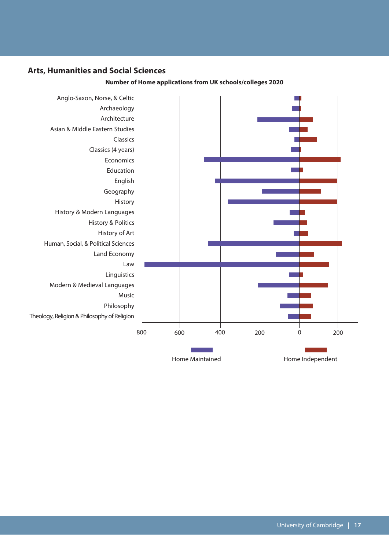## **Arts, Humanities and Social Sciences**



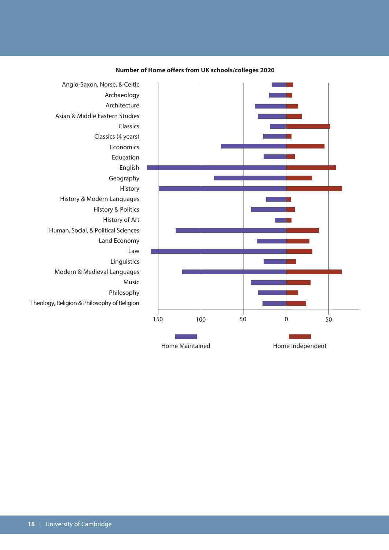

#### **Number of Home offers from UK schools/colleges 2020**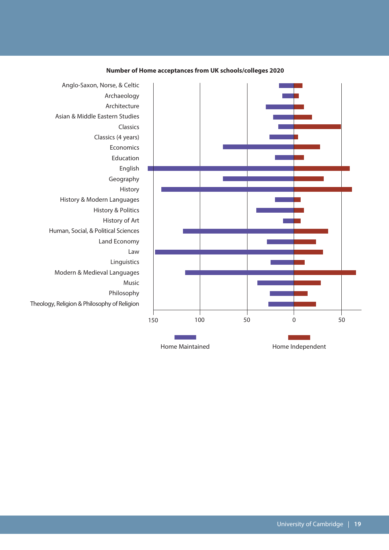

#### **Number of Home acceptances from UK schools/colleges 2020**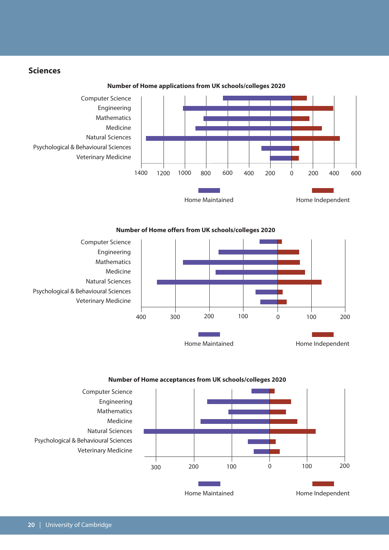#### **Sciences**



**Number of Home applications from UK schools/colleges 2020**





**Number of Home acceptances from UK schools/colleges 2020**

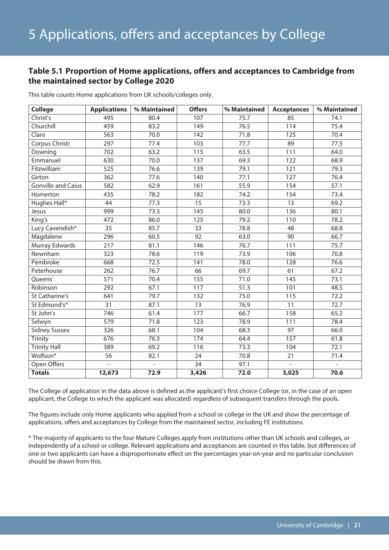#### **Table 5.1 Proportion of Home applications, offers and acceptances to Cambridge from the maintained sector by College 2020**

| <b>College</b>            | <b>Applications</b> | % Maintained   | <b>Offers</b>   | % Maintained      | <b>Acceptances</b> | % Maintained   |
|---------------------------|---------------------|----------------|-----------------|-------------------|--------------------|----------------|
| Christ's                  | 495                 | 80.4           | 107             | 75.7              | 85                 | 74.1           |
| Churchill                 | 459                 | 83.2           | 149             | 76.5              | 114                | 75.4           |
| Clare                     | 563                 | 70.0           | 142             | 71.8              | 125                | 70.4           |
| Corpus Christi            | 297                 | 77.4           | 103             | 77.7              | 89                 | 77.5           |
| Downing                   | 702                 | 63.2           | 115             | 63.5              | 111                | 64.0           |
| Emmanuel                  | 630                 | 70.0           | 137             | 69.3              | 122                | 68.9           |
| Fitzwilliam               | 525                 | 76.6           | 139             | 79.1              | 121                | 79.3           |
| Girton                    | 362                 | 77.6           | 140             | 77.1              | 127                | 76.4           |
| <b>Gonville and Caius</b> | 582                 | 62.9           | 161             | 55.9              | 154                | 57.1           |
| Homerton                  | 435                 | 78.2           | 182             | 74.2              | 154                | 73.4           |
| Hughes Hall*              | $\overline{44}$     | 77.3           | 15              | 73.3              | $\overline{13}$    | 69.2           |
| Jesus                     | 999                 | 73.3           | 145             | 80.0              | 136                | 80.1           |
| King's                    | 472                 | 86.0           | 125             | 79.2              | 110                | 78.2           |
| Lucy Cavendish*           | 35                  | 85.7           | 33              | 78.8              | 48                 | 68.8           |
| Magdalene                 | 296                 | 60.5           | 92              | 63.0              | 90                 | 66.7           |
| Murray Edwards            | 217                 | 81.1           | 146             | 76.7              | 111                | 75.7           |
| Newnham                   | 323                 | 78.6           | 119             | 73.9              | 106                | 70.8           |
| Pembroke                  | 668                 | 72.5           | 141             | 78.0              | 128                | 76.6           |
| Peterhouse                | 262                 | 76.7           | 66              | 69.7              | 61                 | 67.2           |
| Queens'                   | 571                 | 70.4           | 155             | 71.0              | 145                | 73.1           |
| Robinson                  | 292                 | 67.1           | 117             | $\overline{51.3}$ | 101                | 48.5           |
| <b>St Catharine's</b>     | 641                 | 79.7           | 132             | 75.0              | 115                | 72.2           |
| St Edmund's*              | 31                  | 87.1           | 13              | 76.9              | 11                 | 72.7           |
| St John's                 | 746                 | 61.4           | 177             | 66.7              | 158                | 65.2           |
| Selwyn                    | 579                 | 71.8           | 123             | 78.9              | 111                | 78.4           |
| <b>Sidney Sussex</b>      | 326                 | 68.1           | 104             | 68.3              | 97                 | 66.0           |
| <b>Trinity</b>            | 676                 | 76.3           | 174             | 64.4              | 157                | 61.8           |
| <b>Trinity Hall</b>       | 389                 | 69.2           | 116             | 73.3              | 104                | 72.1           |
| Wolfson*                  | 56                  | 82.1           | 24              | 70.8              | 21                 | 71.4           |
| Open Offers               | $\mathbf{r}$        | $\overline{a}$ | $\overline{34}$ | 97.1              | $\mathbf{r}$       | $\overline{a}$ |
| <b>Totals</b>             | 12,673              | 72.9           | 3,426           | 72.0              | 3,025              | 70.6           |

This table counts Home applications from UK schools/colleges only.

The College of application in the data above is defined as the applicant's first choice College (or, in the case of an open applicant, the College to which the applicant was allocated) regardless of subsequent transfers through the pools.

The figures include only Home applicants who applied from a school or college in the UK and show the percentage of applications, offers and acceptances by College from the maintained sector, including FE institutions.

\* The majority of applicants to the four Mature Colleges apply from institutions other than UK schools and colleges, or independently of a school or college. Relevant applications and acceptances are counted in this table, but differences of one or two applicants can have a disproportionate effect on the percentages year-on-year and no particular conclusion should be drawn from this.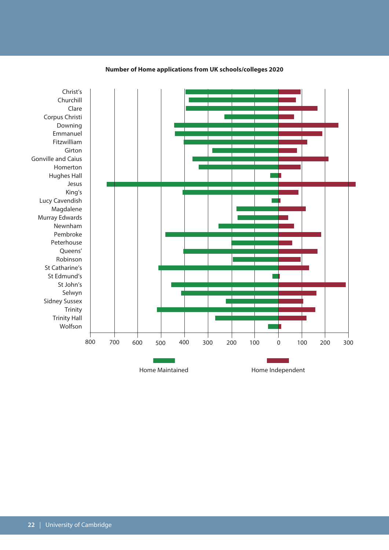

#### **Number of Home applications from UK schools/colleges 2020**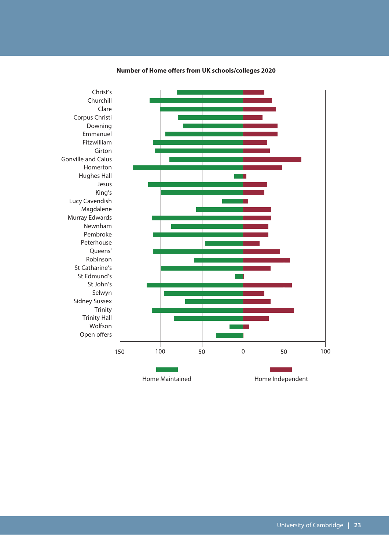

#### **Number of Home offers from UK schools/colleges 2020**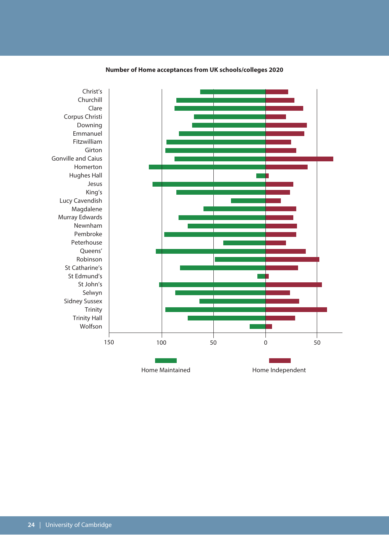

#### **Number of Home acceptances from UK schools/colleges 2020**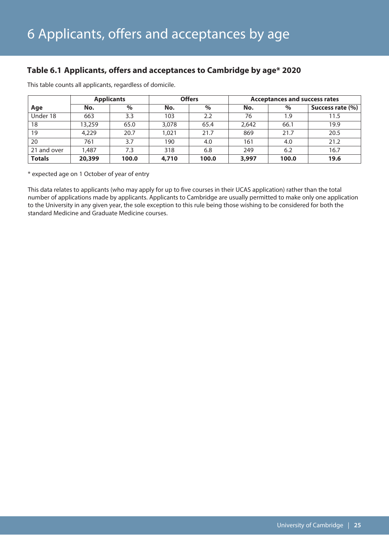## **Table 6.1 Applicants, offers and acceptances to Cambridge by age\* 2020**

|               |             | <b>Applicants</b> |       | <b>Offers</b> | <b>Acceptances and success rates</b> |       |                  |  |  |
|---------------|-------------|-------------------|-------|---------------|--------------------------------------|-------|------------------|--|--|
| Age           | No.         | $\%$              | No.   | $\%$          | No.                                  | %     | Success rate (%) |  |  |
| Under 18      | 663         | 3.3               | 103   | 2.2           | 76                                   | 1.9   | 11.5             |  |  |
| 18            | 13,259      | 65.0              | 3,078 | 65.4          | 2,642                                | 66.1  | 19.9             |  |  |
| 19            | 4,229       | 20.7              | 1.021 | 21.7          | 869                                  | 21.7  | 20.5             |  |  |
| 20            | 761         | 3.7               | 190   | 4.0           | 161                                  | 4.0   | 21.2             |  |  |
| 21 and over   | <b>.487</b> | 7.3               | 318   | 6.8           | 249                                  | 6.2   | 16.7             |  |  |
| <b>Totals</b> | 20,399      | 100.0             | 4,710 | 100.0         | 3,997                                | 100.0 | 19.6             |  |  |

This table counts all applicants, regardless of domicile.

\* expected age on 1 October of year of entry

This data relates to applicants (who may apply for up to five courses in their UCAS application) rather than the total number of applications made by applicants. Applicants to Cambridge are usually permitted to make only one application to the University in any given year, the sole exception to this rule being those wishing to be considered for both the standard Medicine and Graduate Medicine courses.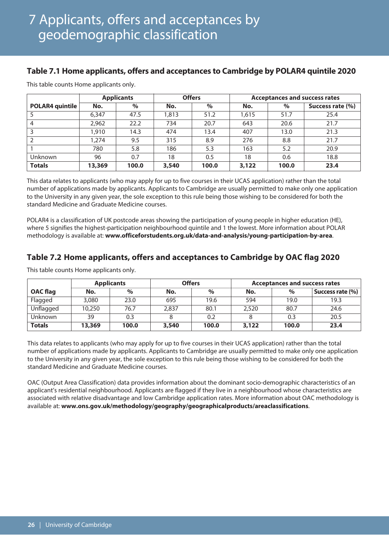## **Table 7.1 Home applicants, offers and acceptances to Cambridge by POLAR4 quintile 2020**

|                        |        | <b>Applicants</b> | <b>Offers</b> |       | <b>Acceptances and success rates</b> |       |                  |  |  |  |
|------------------------|--------|-------------------|---------------|-------|--------------------------------------|-------|------------------|--|--|--|
| <b>POLAR4 quintile</b> | No.    | $\%$              | No.           | $\%$  | No.                                  | $\%$  | Success rate (%) |  |  |  |
|                        | 6.347  | 47.5              | 1,813         | 51.2  | 1,615                                | 51.7  | 25.4             |  |  |  |
| $\overline{4}$         | 2,962  | 22.2              | 734           | 20.7  | 643                                  | 20.6  | 21.7             |  |  |  |
| 3                      | .910   | 14.3              | 474           | 13.4  | 407                                  | 13.0  | 21.3             |  |  |  |
| $\overline{2}$         | .274   | 9.5               | 315           | 8.9   | 276                                  | 8.8   | 21.7             |  |  |  |
|                        | 780    | 5.8               | 186           | 5.3   | 163                                  | 5.2   | 20.9             |  |  |  |
| <b>Unknown</b>         | 96     | 0.7               | 18            | 0.5   | 18                                   | 0.6   | 18.8             |  |  |  |
| <b>Totals</b>          | 13,369 | 100.0             | 3,540         | 100.0 | 3,122                                | 100.0 | 23.4             |  |  |  |

This table counts Home applicants only.

This data relates to applicants (who may apply for up to five courses in their UCAS application) rather than the total number of applications made by applicants. Applicants to Cambridge are usually permitted to make only one application to the University in any given year, the sole exception to this rule being those wishing to be considered for both the standard Medicine and Graduate Medicine courses.

POLAR4 is a classification of UK postcode areas showing the participation of young people in higher education (HE), where 5 signifies the highest-participation neighbourhood quintile and 1 the lowest. More information about POLAR methodology is available at: **www.officeforstudents.org.uk/data-and-analysis/young-participation-by-area**.

## **Table 7.2 Home applicants, offers and acceptances to Cambridge by OAC flag 2020**

|                 |             | <b>Applicants</b> |       | <b>Offers</b> | <b>Acceptances and success rates</b> |       |                  |  |  |  |
|-----------------|-------------|-------------------|-------|---------------|--------------------------------------|-------|------------------|--|--|--|
| <b>OAC</b> flag | $\%$<br>No. |                   | No.   | %             |                                      | $\%$  | Success rate (%) |  |  |  |
| Flagged         | 3,080       | 23.0              | 695   | 19.6          | 594                                  | 19.0  | 19.3             |  |  |  |
| Unflagged       | 10,250      | 76.7              | 2,837 | 80.1          | 2,520                                | 80.7  | 24.6             |  |  |  |
| <b>Unknown</b>  | 39          | 0.3               |       | 0.2           |                                      | 0.3   | 20.5             |  |  |  |
| <b>Totals</b>   | 13,369      | 100.0             | 3,540 | 100.0         | 3,122                                | 100.0 | 23.4             |  |  |  |

This table counts Home applicants only.

This data relates to applicants (who may apply for up to five courses in their UCAS application) rather than the total number of applications made by applicants. Applicants to Cambridge are usually permitted to make only one application to the University in any given year, the sole exception to this rule being those wishing to be considered for both the standard Medicine and Graduate Medicine courses.

OAC (Output Area Classification) data provides information about the dominant socio-demographic characteristics of an applicant's residential neighbourhood. Applicants are flagged if they live in a neighbourhood whose characteristics are associated with relative disadvantage and low Cambridge application rates. More information about OAC methodology is available at: **www.ons.gov.uk/methodology/geography/geographicalproducts/areaclassifications**.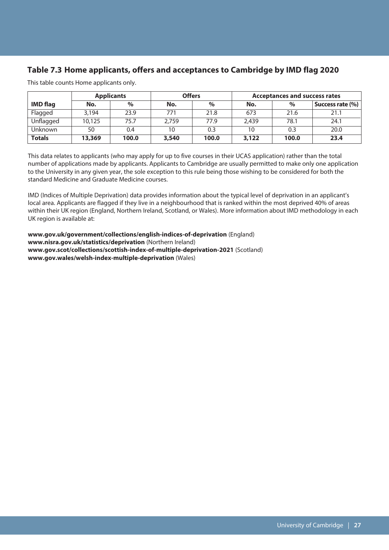## **Table 7.3 Home applicants, offers and acceptances to Cambridge by IMD flag 2020**

|                 |             | <b>Applicants</b> | <b>Offers</b> |       | <b>Acceptances and success rates</b> |       |                  |  |  |  |
|-----------------|-------------|-------------------|---------------|-------|--------------------------------------|-------|------------------|--|--|--|
| <b>IMD</b> flag | $\%$<br>No. |                   | No.           | $\%$  |                                      | $\%$  | Success rate (%) |  |  |  |
| Flagged         | 3,194       | 23.9              | 771           | 21.8  | 673                                  | 21.6  | 21.1             |  |  |  |
| Unflagged       | 10,125      | 75.7              | 2.759         | 77.9  | 2.439                                | 78.1  | 24.1             |  |  |  |
| <b>Unknown</b>  | 50          | 0.4               | 10            | 0.3   | 10                                   | 0.3   | 20.0             |  |  |  |
| <b>Totals</b>   | 13,369      | 100.0             | 3,540         | 100.0 | 3,122                                | 100.0 | 23.4             |  |  |  |

This table counts Home applicants only.

This data relates to applicants (who may apply for up to five courses in their UCAS application) rather than the total number of applications made by applicants. Applicants to Cambridge are usually permitted to make only one application to the University in any given year, the sole exception to this rule being those wishing to be considered for both the standard Medicine and Graduate Medicine courses.

IMD (Indices of Multiple Deprivation) data provides information about the typical level of deprivation in an applicant's local area. Applicants are flagged if they live in a neighbourhood that is ranked within the most deprived 40% of areas within their UK region (England, Northern Ireland, Scotland, or Wales). More information about IMD methodology in each UK region is available at:

**www.gov.uk/government/collections/english-indices-of-deprivation** (England) **www.nisra.gov.uk/statistics/deprivation** (Northern Ireland) **www.gov.scot/collections/scottish-index-of-multiple-deprivation-2021** (Scotland) **www.gov.wales/welsh-index-multiple-deprivation** (Wales)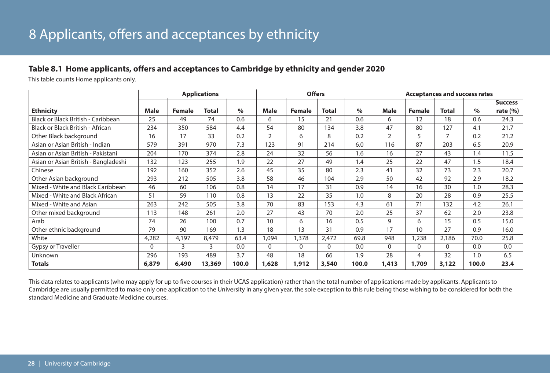## **Table 8.1 Home applicants, offers and acceptances to Cambridge by ethnicity and gender 2020**

This table counts Home applicants only.

|                                      |          |               | <b>Applications</b> |       |                | <b>Offers</b> |              |       | <b>Acceptances and success rates</b> |               |          |       |                |  |
|--------------------------------------|----------|---------------|---------------------|-------|----------------|---------------|--------------|-------|--------------------------------------|---------------|----------|-------|----------------|--|
|                                      |          |               |                     |       |                |               |              |       |                                      |               |          |       | <b>Success</b> |  |
| <b>Ethnicity</b>                     | Male     | <b>Female</b> | Total               | $\%$  | <b>Male</b>    | <b>Female</b> | <b>Total</b> | $\%$  | <b>Male</b>                          | <b>Female</b> | Total    | $\%$  | rate $(\% )$   |  |
| Black or Black British - Caribbean   | 25       | 49            | 74                  | 0.6   | 6              | 15            | 21           | 0.6   | 6                                    | 12            | 18       | 0.6   | 24.3           |  |
| Black or Black British - African     | 234      | 350           | 584                 | 4.4   | 54             | 80            | 134          | 3.8   | 47                                   | 80            | 127      | 4.1   | 21.7           |  |
| Other Black background               | 16       | 17            | 33                  | 0.2   | $\overline{2}$ | 6             | 8            | 0.2   | $\overline{2}$                       | 5             | 7        | 0.2   | 21.2           |  |
| Asian or Asian British - Indian      | 579      | 391           | 970                 | 7.3   | 123            | 91            | 214          | 6.0   | 116                                  | 87            | 203      | 6.5   | 20.9           |  |
| Asian or Asian British - Pakistani   | 204      | 170           | 374                 | 2.8   | 24             | 32            | 56           | 1.6   | 16                                   | 27            | 43       | 1.4   | 11.5           |  |
| Asian or Asian British - Bangladeshi | 132      | 123           | 255                 | 1.9   | 22             | 27            | 49           | 1.4   | 25                                   | 22            | 47       | 1.5   | 18.4           |  |
| Chinese                              | 192      | 160           | 352                 | 2.6   | 45             | 35            | 80           | 2.3   | 41                                   | 32            | 73       | 2.3   | 20.7           |  |
| Other Asian background               | 293      | 212           | 505                 | 3.8   | 58             | 46            | 104          | 2.9   | 50                                   | 42            | 92       | 2.9   | 18.2           |  |
| Mixed - White and Black Caribbean    | 46       | 60            | 106                 | 0.8   | 14             | 17            | 31           | 0.9   | 14                                   | 16            | 30       | 1.0   | 28.3           |  |
| Mixed - White and Black African      | 51       | 59            | 110                 | 0.8   | 13             | 22            | 35           | 1.0   | 8                                    | 20            | 28       | 0.9   | 25.5           |  |
| Mixed - White and Asian              | 263      | 242           | 505                 | 3.8   | 70             | 83            | 153          | 4.3   | 61                                   | 71            | 132      | 4.2   | 26.1           |  |
| Other mixed background               | 113      | 148           | 261                 | 2.0   | 27             | 43            | 70           | 2.0   | 25                                   | 37            | 62       | 2.0   | 23.8           |  |
| Arab                                 | 74       | 26            | 100                 | 0.7   | 10             | 6             | 16           | 0.5   | 9                                    | 6             | 15       | 0.5   | 15.0           |  |
| Other ethnic background              | 79       | 90            | 169                 | 1.3   | 18             | 13            | 31           | 0.9   | 17                                   | 10            | 27       | 0.9   | 16.0           |  |
| White                                | 4,282    | 4,197         | 8,479               | 63.4  | 1,094          | 1,378         | 2,472        | 69.8  | 948                                  | 1,238         | 2,186    | 70.0  | 25.8           |  |
| Gypsy or Traveller                   | $\Omega$ | 3             | 3                   | 0.0   | 0              | $\mathbf{0}$  | $\Omega$     | 0.0   | $\Omega$                             | 0             | $\Omega$ | 0.0   | 0.0            |  |
| Unknown                              | 296      | 193           | 489                 | 3.7   | 48             | 18            | 66           | 1.9   | 28                                   | 4             | 32       | 1.0   | 6.5            |  |
| <b>Totals</b>                        | 6,879    | 6,490         | 13,369              | 100.0 | 1,628          | 1,912         | 3,540        | 100.0 | 1,413                                | 1,709         | 3,122    | 100.0 | 23.4           |  |

This data relates to applicants (who may apply for up to five courses in their UCAS application) rather than the total number of applications made by applicants. Applicants to Cambridge are usually permitted to make only one application to the University in any given year, the sole exception to this rule being those wishing to be considered for both the standard Medicine and Graduate Medicine courses.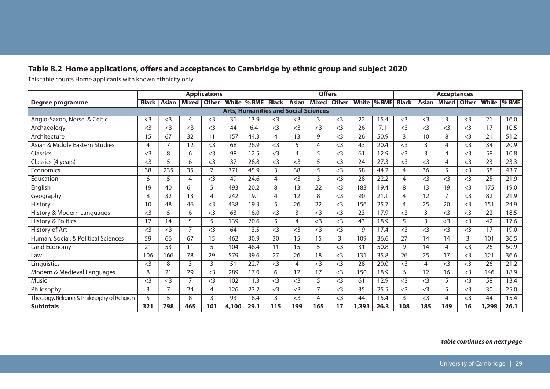## **Table 8.2 Home applications, offers and acceptances to Cambridge by ethnic group and subject 2020**

This table counts Home applicants with known ethnicity only.

|                                             |                |       |              | <b>Applications</b> |       |                                             |       |       | <b>Offers</b> |              |       |               | <b>Acceptances</b> |       |                |              |       |          |
|---------------------------------------------|----------------|-------|--------------|---------------------|-------|---------------------------------------------|-------|-------|---------------|--------------|-------|---------------|--------------------|-------|----------------|--------------|-------|----------|
| Degree programme                            | <b>Black</b>   | Asian | <b>Mixed</b> | <b>Other</b>        |       | White  % BME                                | Black | Asian | Mixed         | <b>Other</b> |       | White   % BME | <b>Black</b>       | Asian | <b>Mixed</b>   | <b>Other</b> | White | $\%$ BME |
|                                             |                |       |              |                     |       | <b>Arts, Humanities and Social Sciences</b> |       |       |               |              |       |               |                    |       |                |              |       |          |
| Anglo-Saxon, Norse, & Celtic                | $<$ 3          | $<$ 3 | 4            | $<$ 3               | 31    | 13.9                                        | $<$ 3 | $<$ 3 | 3             | $<$ 3        | 22    | 15.4          | $<$ 3              | $<$ 3 | 3              | $<$ 3        | 21    | 16.0     |
| Archaeology                                 | $<$ 3          | $<$ 3 | $<$ 3        | $<$ 3               | 44    | 6.4                                         | $<$ 3 | $<$ 3 | $<$ 3         | $<$ 3        | 26    | 7.1           | $<$ 3              | $<$ 3 | $<$ 3          | $<$ 3        | 17    | 10.5     |
| Architecture                                | 15             | 67    | 32           | 11                  | 157   | 44.3                                        | 4     | 13    | 9             | $<$ 3        | 26    | 50.9          | 3                  | 10    | 8              | $<$ 3        | 21    | 51.2     |
| Asian & Middle Eastern Studies              | $\overline{4}$ | 7     | 12           | $<$ 3               | 68    | 26.9                                        | $<$ 3 | 5     | 4             | $<$ 3        | 43    | 20.4          | $<$ 3              | 3     | $\overline{4}$ | $<$ 3        | 34    | 20.9     |
| Classics                                    | $<$ 3          | 8     | 6            | $<$ 3               | 98    | 12.5                                        | $<$ 3 | 4     | 5             | $<$ 3        | 61    | 12.9          | $<$ 3              | 3     | 4              | $<$ 3        | 58    | 10.8     |
| Classics (4 years)                          | $<$ 3          | 5     | 6            | $<$ 3               | 37    | 28.8                                        | $<$ 3 | $<$ 3 | 5             | $<$ 3        | 24    | 27.3          | $<$ 3              | $<$ 3 | 4              | $<$ 3        | 23    | 23.3     |
| Economics                                   | 38             | 235   | 35           | $\overline{7}$      | 371   | 45.9                                        | 3     | 38    | 5             | $<$ 3        | 58    | 44.2          | 4                  | 36    | 5              | $<$ 3        | 58    | 43.7     |
| Education                                   | 6              | 5     | 4            | $<$ 3               | 49    | 24.6                                        | 4     | $<$ 3 | 3             | $<$ 3        | 28    | 22.2          | 4                  | $<$ 3 | $<$ 3          | $<$ 3        | 25    | 21.9     |
| English                                     | 19             | 40    | 61           | 5                   | 493   | 20.2                                        | 8     | 13    | 22            | $<$ 3        | 183   | 19.4          | 8                  | 13    | 19             | $<$ 3        | 175   | 19.0     |
| Geography                                   | 8              | 32    | 13           | 4                   | 242   | 19.1                                        | 4     | 12    | 8             | $<$ 3        | 90    | 21.1          | 4                  | 12    | $\overline{7}$ | $<$ 3        | 82    | 21.9     |
| History                                     | 10             | 48    | 46           | $<$ 3               | 438   | 19.3                                        | 5     | 26    | 22            | $<$ 3        | 156   | 25.7          | 4                  | 25    | 20             | $<$ 3        | 151   | 24.9     |
| History & Modern Languages                  | $<$ 3          | 5     | 6            | $<$ 3               | 63    | 16.0                                        | $<$ 3 | 3     | $<$ 3         | $<$ 3        | 23    | 17.9          | $<$ 3              | 3     | $<$ 3          | $<$ 3        | 22    | 18.5     |
| <b>History &amp; Politics</b>               | 12             | 14    | 5            | 5                   | 139   | 20.6                                        | 5     | 4     | $<$ 3         | $<$ 3        | 43    | 18.9          | 5                  | 3     | $<$ 3          | $<$ 3        | 42    | 17.6     |
| History of Art                              | $<$ 3          | $<$ 3 | 7            | $<$ 3               | 64    | 13.5                                        | $<$ 3 | $<$ 3 | $<$ 3         | $<$ 3        | 19    | 17.4          | $<$ 3              | $<$ 3 | $<$ 3          | $<$ 3        | 17    | 19.0     |
| Human, Social, & Political Sciences         | 59             | 66    | 67           | 15                  | 462   | 30.9                                        | 30    | 15    | 15            | 3            | 109   | 36.6          | 27                 | 14    | 14             | 3            | 101   | 36.5     |
| <b>Land Economy</b>                         | 21             | 53    | 11           | 5                   | 104   | 46.4                                        | 11    | 15    | 5             | $<$ 3        | 31    | 50.8          | 9                  | 14    | 4              | $<$ 3        | 26    | 50.9     |
| Law                                         | 106            | 166   | 78           | 29                  | 579   | 39.6                                        | 27    | 26    | 18            | $<$ 3        | 131   | 35.8          | 26                 | 25    | 17             | $<$ 3        | 121   | 36.6     |
| Linguistics                                 | $<$ 3          | 8     | 3            | 3                   | 51    | 22.7                                        | $<$ 3 | 4     | $<$ 3         | $<$ 3        | 28    | 20.0          | $<$ 3              | 4     | $<$ 3          | $<$ 3        | 26    | 21.2     |
| Modern & Medieval Languages                 | 8              | 21    | 29           | $<$ 3               | 289   | 17.0                                        | 6     | 12    | 17            | $<$ 3        | 150   | 18.9          | 6                  | 12    | 16             | $<$ 3        | 146   | 18.9     |
| Music                                       | $<$ 3          | $<$ 3 | 7            | $<$ 3               | 102   | 11.3                                        | $<$ 3 | $<$ 3 | 5             | $<$ 3        | 61    | 12.9          | $<$ 3              | $<$ 3 | 5              | $<$ 3        | 58    | 13.4     |
| Philosophy                                  | 3              | 7     | 24           | 4                   | 126   | 23.2                                        | $<$ 3 | $<$ 3 |               | $\leq$ 3     | 35    | 25.5          | $<$ 3              | $<$ 3 | 5              | $<$ 3        | 30    | 25.0     |
| Theology, Religion & Philosophy of Religion | 5              | 5     | 8            | 3                   | 93    | 18.4                                        | 3     | $<$ 3 | 4             | $<$ 3        | 44    | 15.4          | 3                  | $<$ 3 | 4              | $<$ 3        | 44    | 15.4     |
| <b>Subtotals</b>                            | 321            | 798   | 465          | 101                 | 4,100 | 29.1                                        | 115   | 199   | 165           | 17           | 1,391 | 26.3          | 108                | 185   | 149            | 16           | 1,298 | 26.1     |

#### *table continues on next page*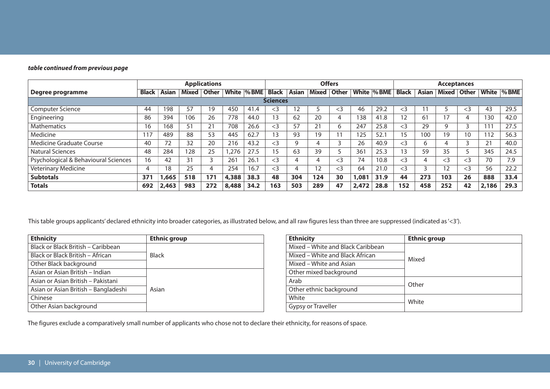| table continued from previous page |  |
|------------------------------------|--|
|------------------------------------|--|

|                                      |              | <b>Applications</b> |              |              |       |             |                 | <b>Offers</b> |       |              |       | <b>Acceptances</b> |              |              |          |              |       |         |
|--------------------------------------|--------------|---------------------|--------------|--------------|-------|-------------|-----------------|---------------|-------|--------------|-------|--------------------|--------------|--------------|----------|--------------|-------|---------|
| Degree programme                     | <b>Black</b> | Asian               | <b>Mixed</b> | <b>Other</b> |       | White % BME | <b>Black</b>    | Asian         | Mixed | <b>Other</b> | White | $\%$ BME           | <b>Black</b> | <b>Asian</b> | Mixed    | <b>Other</b> | White | $%$ BME |
|                                      |              |                     |              |              |       |             | <b>Sciences</b> |               |       |              |       |                    |              |              |          |              |       |         |
| <b>Computer Science</b>              | 44           | 198                 | 57           | 19           | 450   | 41.4        | $\leq$ 3        | 12            |       | $<$ 3        | 46    | 29.2               | $<$ 3        |              |          | $<$ 3        | 43    | 29.5    |
| Engineering                          | 86           | 394                 | 106          | 26           | 778   | 44.0        | 13              | 62            | 20    | 4            | 138   | 41.8               | 12           | 61           | 17       | 4            | 130   | 42.0    |
| Mathematics                          | 16           | 168                 | 51           | า 1<br>∠ ।   | 708   | 26.6        | $<$ 3           | 57            | 21    | 6            | 247   | 25.8               | $\leq$ 3     | 29           |          |              | 111   | 27.5    |
| Medicine                             | 117          | 489                 | 88           | 53           | 445   | 62.7        | 13              | 93            | 19    |              | 125   | 52.1               | 15           | 100          | 19       | 10           | 112   | 56.3    |
| Medicine Graduate Course             | 40           | 72                  | 32           | 20           | 216   | 43.2        | $<$ 3           | q             |       | ∍            | 26    | 40.9               | $<$ 3        | 6            |          |              | 21    | 40.0    |
| Natural Sciences                     | 48           | 284                 | 128          | 25           | .276  | 27.5        | 15              | 63            | 39    |              | 361   | 25.3               | 13           | 59           | 35       |              | 345   | 24.5    |
| Psychological & Behavioural Sciences | 16           | 42                  | 31           |              | 261   | 26.1        | $\leq$ 3        |               | 4     | $<$ 3        | 74    | 10.8               | $\leq$ 3     | 4            | $\leq$ 3 | $<$ 3        | 70    | 7.9     |
| <b>Veterinary Medicine</b>           | 4            | 18                  | 25           |              | 254   | 16.7        | $<$ 3           |               | 12    | $\leq$ 3     | 64    | 21.0               | $\leq$ 3     | 3            | 12       | $<$ 3        | 56    | 22.2    |
| <b>Subtotals</b>                     | 371          | .665                | 518          | 171          | 4,388 | 38.3        | 48              | 304           | 124   | 30           | 1,081 | 31.9               | 44           | 273          | 103      | 26           | 888   | 33.4    |
| <b>Totals</b>                        | 692          | 2,463               | 983          | 272          | 8,488 | 34.2        | 163             | 503           | 289   | 47           | 2,472 | 28.8               | 152          | 458          | 252      | 42           | 2,186 | 29.3    |

This table groups applicants'declared ethnicity into broader categories, as illustrated below, and all raw figures less than three are suppressed (indicated as'<3').

| <b>Ethnicity</b>                     | <b>Ethnic group</b> |
|--------------------------------------|---------------------|
| Black or Black British - Caribbean   |                     |
| Black or Black British - African     | <b>Black</b>        |
| Other Black background               |                     |
| Asian or Asian British - Indian      |                     |
| Asian or Asian British – Pakistani   |                     |
| Asian or Asian British – Bangladeshi | Asian               |
| Chinese                              |                     |
| Other Asian background               |                     |

| <b>Ethnicity</b>                  | <b>Ethnic group</b> |
|-----------------------------------|---------------------|
| Mixed – White and Black Caribbean |                     |
| Mixed – White and Black African   | Mixed               |
| Mixed – White and Asian           |                     |
| Other mixed background            |                     |
| Arab                              | Other               |
| Other ethnic background           |                     |
| White                             | White               |
| Gypsy or Traveller                |                     |

The figures exclude a comparatively small number of applicants who chose not to declare their ethnicity, for reasons of space.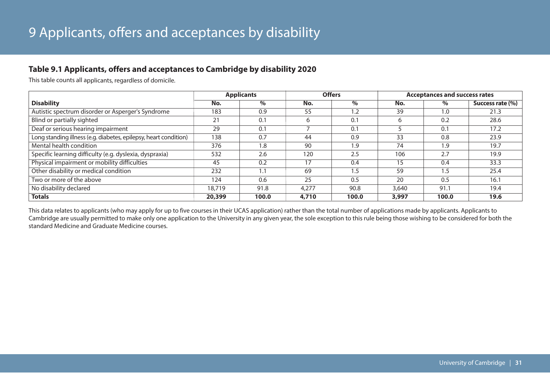## **Table 9.1 Applicants, offers and acceptances to Cambridge by disability 2020**

This table counts all applicants, regardless of domicile.

|                                                                  |        | <b>Applicants</b> |       | <b>Offers</b> | <b>Acceptances and success rates</b> |       |                  |  |
|------------------------------------------------------------------|--------|-------------------|-------|---------------|--------------------------------------|-------|------------------|--|
| <b>Disability</b>                                                | No.    | $\%$              | No.   | $\%$          | No.                                  | $\%$  | Success rate (%) |  |
| Autistic spectrum disorder or Asperger's Syndrome                | 183    | 0.9               | 55    | 1.2           | 39                                   | 1.0   | 21.3             |  |
| Blind or partially sighted                                       | 21     | 0.1               | 6     | 0.1           | 6                                    | 0.2   | 28.6             |  |
| Deaf or serious hearing impairment                               | 29     | 0.1               |       | 0.1           |                                      | 0.1   | 17.2             |  |
| Long standing illness (e.g. diabetes, epilepsy, heart condition) | 138    | 0.7               | 44    | 0.9           | 33                                   | 0.8   | 23.9             |  |
| Mental health condition                                          | 376    | 1.8               | 90    | 1.9           | 74                                   | 1.9   | 19.7             |  |
| Specific learning difficulty (e.g. dyslexia, dyspraxia)          | 532    | 2.6               | 120   | 2.5           | 106                                  | 2.7   | 19.9             |  |
| Physical impairment or mobility difficulties                     | 45     | 0.2               | 17    | 0.4           | 15                                   | 0.4   | 33.3             |  |
| Other disability or medical condition                            | 232    | 1.1               | 69    | 1.5           | 59                                   | 1.5   | 25.4             |  |
| Two or more of the above                                         | 124    | 0.6               | 25    | 0.5           | 20                                   | 0.5   | 16.1             |  |
| No disability declared                                           | 18,719 | 91.8              | 4.277 | 90.8          | 3,640                                | 91.7  | 19.4             |  |
| <b>Totals</b>                                                    | 20,399 | 100.0             | 4,710 | 100.0         | 3,997                                | 100.0 | 19.6             |  |

This data relates to applicants (who may apply for up to five courses in their UCAS application) rather than the total number of applications made by applicants. Applicants to Cambridge are usually permitted to make only one application to the University in any given year, the sole exception to this rule being those wishing to be considered for both the standard Medicine and Graduate Medicine courses.